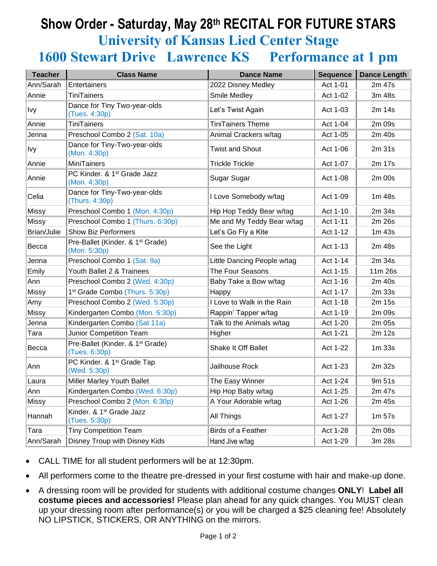## **Show Order - Saturday, May 28 th RECITAL FOR FUTURE STARS University of Kansas Lied Center Stage 1600 Stewart Drive Lawrence KS Performance at 1 pm**

| <b>Teacher</b>     | <b>Class Name</b>                                             | <b>Dance Name</b>           | <b>Sequence</b> | <b>Dance Length</b> |
|--------------------|---------------------------------------------------------------|-----------------------------|-----------------|---------------------|
| Ann/Sarah          | Entertainers                                                  | 2022 Disney Medley          | Act 1-01        | 2m 47s              |
| Annie              | <b>TiniTainers</b>                                            | Smile Medley                | Act 1-02        | 3m 48s              |
| Ivy                | Dance for Tiny Two-year-olds<br>(Tues. 4:30p)                 | Let's Twist Again           | Act 1-03        | 2m 14s              |
| Annie              | <b>TiniTainers</b>                                            | <b>TiniTainers Theme</b>    | Act 1-04        | 2m 09s              |
| Jenna              | Preschool Combo 2 (Sat. 10a)                                  | Animal Crackers w/tag       | Act 1-05        | 2m 40s              |
| Ivy                | Dance for Tiny-Two-year-olds<br>(Mon. 4:30p)                  | <b>Twist and Shout</b>      | Act 1-06        | 2m 31s              |
| Annie              | <b>MiniTainers</b>                                            | <b>Trickle Trickle</b>      | Act 1-07        | 2m 17s              |
| Annie              | PC Kinder. & 1 <sup>st</sup> Grade Jazz<br>(Mon. 4:30p)       | Sugar Sugar                 | Act 1-08        | 2m 00s              |
| Celia              | Dance for Tiny-Two-year-olds<br>(Thurs. 4:30p)                | I Love Somebody w/tag       | Act 1-09        | 1m 48s              |
| Missy              | Preschool Combo 1 (Mon. 4:30p)                                | Hip Hop Teddy Bear w/tag    | Act 1-10        | 2m 34s              |
| <b>Missy</b>       | Preschool Combo 1 (Thurs. 6:30p)                              | Me and My Teddy Bear w/tag  | Act 1-11        | 2m 26s              |
| <b>Brian/Julie</b> | <b>Show Biz Performers</b>                                    | Let's Go Fly a Kite         | Act 1-12        | 1m 43s              |
| Becca              | Pre-Ballet (Kinder. & 1 <sup>st</sup> Grade)<br>(Mon. 5:30p)  | See the Light               | Act 1-13        | 2m 48s              |
| Jenna              | Preschool Combo 1 (Sat. 9a)                                   | Little Dancing People w/tag | Act 1-14        | 2m 34s              |
| Emily              | Youth Ballet 2 & Trainees                                     | The Four Seasons            | Act 1-15        | 11m 26s             |
| Ann                | Preschool Combo 2 (Wed. 4:30p)                                | Baby Take a Bow w/tag       | Act 1-16        | 2m 40s              |
| Missy              | 1 <sup>st</sup> Grade Combo (Thurs. 5:30p)                    | Happy                       | Act 1-17        | 2m 33s              |
| Amy                | Preschool Combo 2 (Wed. 5:30p)                                | I Love to Walk in the Rain  | Act 1-18        | 2m 15s              |
| Missy              | Kindergarten Combo (Mon. 5:30p)                               | Rappin' Tapper w/tag        | Act 1-19        | 2m 09s              |
| Jenna              | Kindergarten Combo (Sat 11a)                                  | Talk to the Animals w/tag   | Act 1-20        | 2m 05s              |
| Tara               | Junior Competition Team                                       | Higher                      | Act 1-21        | 2m 12s              |
| Becca              | Pre-Ballet (Kinder. & 1 <sup>st</sup> Grade)<br>(Tues. 6:30p) | <b>Shake It Off Ballet</b>  | Act 1-22        | 1m <sub>33s</sub>   |
| Ann                | PC Kinder. & 1 <sup>st</sup> Grade Tap<br>(Wed. 5:30p)        | Jailhouse Rock              | Act 1-23        | 2m 32s              |
| Laura              | Miller Marley Youth Ballet                                    | The Easy Winner             | Act 1-24        | 9m 51s              |
| Ann                | Kindergarten Combo (Wed. 6:30p)                               | Hip Hop Baby w/tag          | Act 1-25        | 2m 47s              |
| Missy              | Preschool Combo 2 (Mon. 6:30p)                                | A Your Adorable w/tag       | Act 1-26        | 2m 45s              |
| Hannah             | Kinder. & 1 <sup>st</sup> Grade Jazz<br>(Tues. 5:30p)         | All Things                  | Act 1-27        | 1m <sub>57s</sub>   |
| Tara               | <b>Tiny Competition Team</b>                                  | Birds of a Feather          | Act 1-28        | 2m 08s              |
| Ann/Sarah          | Disney Troup with Disney Kids                                 | Hand Jive w/tag             | Act 1-29        | 3m 28s              |

- CALL TIME for all student performers will be at 12:30pm.
- All performers come to the theatre pre-dressed in your first costume with hair and make-up done.
- A dressing room will be provided for students with additional costume changes **ONLY**! **Label all costume pieces and accessories!** Please plan ahead for any quick changes. You MUST clean up your dressing room after performance(s) or you will be charged a \$25 cleaning fee! Absolutely NO LIPSTICK, STICKERS, OR ANYTHING on the mirrors.